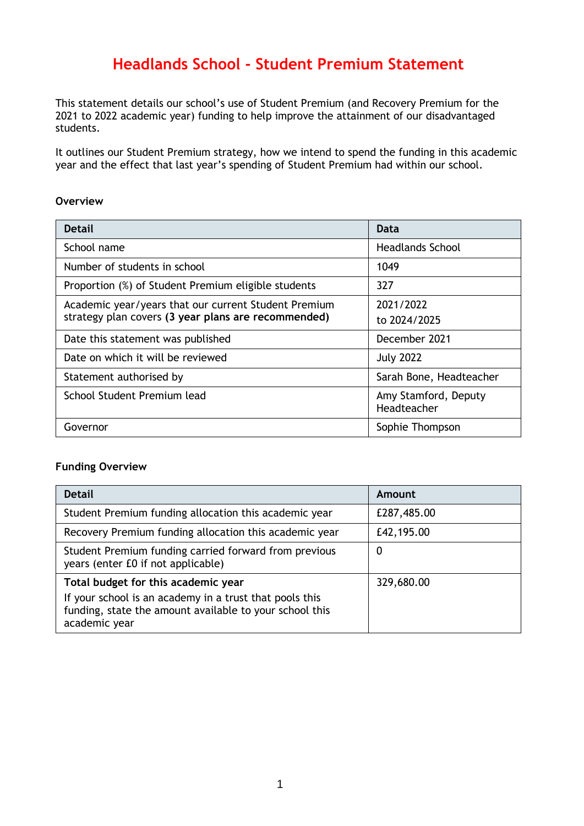# **Headlands School - Student Premium Statement**

This statement details our school's use of Student Premium (and Recovery Premium for the 2021 to 2022 academic year) funding to help improve the attainment of our disadvantaged students.

It outlines our Student Premium strategy, how we intend to spend the funding in this academic year and the effect that last year's spending of Student Premium had within our school.

#### **Overview**

| <b>Detail</b>                                        | Data                    |
|------------------------------------------------------|-------------------------|
| School name                                          | <b>Headlands School</b> |
| Number of students in school                         | 1049                    |
| Proportion (%) of Student Premium eligible students  | 327                     |
| Academic year/years that our current Student Premium | 2021/2022               |
| strategy plan covers (3 year plans are recommended)  | to 2024/2025            |
| Date this statement was published                    | December 2021           |
| Date on which it will be reviewed                    | <b>July 2022</b>        |
| Statement authorised by                              | Sarah Bone, Headteacher |
| School Student Premium lead                          | Amy Stamford, Deputy    |
|                                                      | Headteacher             |
| Governor                                             | Sophie Thompson         |

### **Funding Overview**

| <b>Detail</b>                                                                                                                                                              | Amount      |
|----------------------------------------------------------------------------------------------------------------------------------------------------------------------------|-------------|
| Student Premium funding allocation this academic year                                                                                                                      | £287,485.00 |
| Recovery Premium funding allocation this academic year                                                                                                                     | £42,195.00  |
| Student Premium funding carried forward from previous<br>years (enter £0 if not applicable)                                                                                | 0           |
| Total budget for this academic year<br>If your school is an academy in a trust that pools this<br>funding, state the amount available to your school this<br>academic year | 329,680.00  |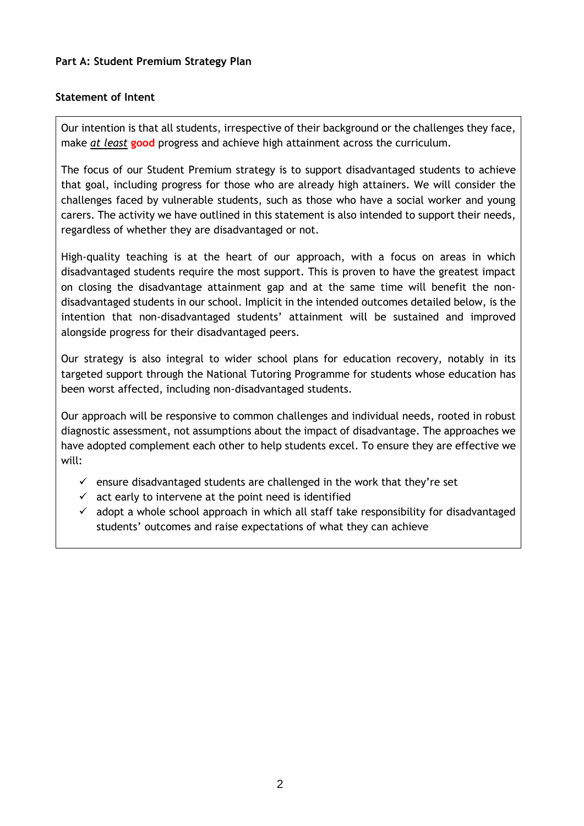### **Statement of Intent**

Our intention is that all students, irrespective of their background or the challenges they face, make *at least* **good** progress and achieve high attainment across the curriculum.

The focus of our Student Premium strategy is to support disadvantaged students to achieve that goal, including progress for those who are already high attainers. We will consider the challenges faced by vulnerable students, such as those who have a social worker and young carers. The activity we have outlined in this statement is also intended to support their needs, regardless of whether they are disadvantaged or not.

High-quality teaching is at the heart of our approach, with a focus on areas in which disadvantaged students require the most support. This is proven to have the greatest impact on closing the disadvantage attainment gap and at the same time will benefit the nondisadvantaged students in our school. Implicit in the intended outcomes detailed below, is the intention that non-disadvantaged students' attainment will be sustained and improved alongside progress for their disadvantaged peers.

Our strategy is also integral to wider school plans for education recovery, notably in its targeted support through the National Tutoring Programme for students whose education has been worst affected, including non-disadvantaged students.

Our approach will be responsive to common challenges and individual needs, rooted in robust diagnostic assessment, not assumptions about the impact of disadvantage. The approaches we have adopted complement each other to help students excel. To ensure they are effective we will:

- $\checkmark$  ensure disadvantaged students are challenged in the work that they're set
- $\checkmark$  act early to intervene at the point need is identified
- $\checkmark$  adopt a whole school approach in which all staff take responsibility for disadvantaged students' outcomes and raise expectations of what they can achieve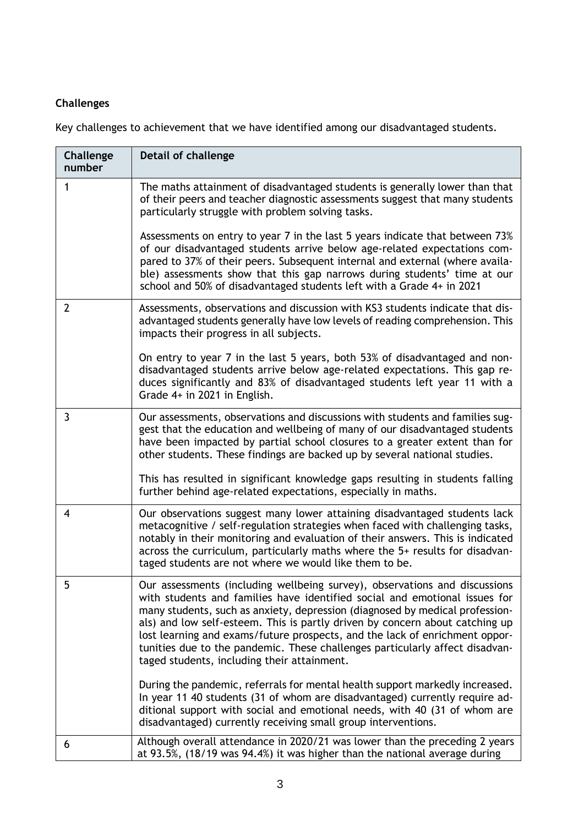## **Challenges**

Key challenges to achievement that we have identified among our disadvantaged students.

| Challenge<br>number | <b>Detail of challenge</b>                                                                                                                                                                                                                                                                                                                                                                                                                                                                                                             |
|---------------------|----------------------------------------------------------------------------------------------------------------------------------------------------------------------------------------------------------------------------------------------------------------------------------------------------------------------------------------------------------------------------------------------------------------------------------------------------------------------------------------------------------------------------------------|
| 1                   | The maths attainment of disadvantaged students is generally lower than that<br>of their peers and teacher diagnostic assessments suggest that many students<br>particularly struggle with problem solving tasks.                                                                                                                                                                                                                                                                                                                       |
|                     | Assessments on entry to year 7 in the last 5 years indicate that between 73%<br>of our disadvantaged students arrive below age-related expectations com-<br>pared to 37% of their peers. Subsequent internal and external (where availa-<br>ble) assessments show that this gap narrows during students' time at our<br>school and 50% of disadvantaged students left with a Grade 4+ in 2021                                                                                                                                          |
| $\overline{2}$      | Assessments, observations and discussion with KS3 students indicate that dis-<br>advantaged students generally have low levels of reading comprehension. This<br>impacts their progress in all subjects.                                                                                                                                                                                                                                                                                                                               |
|                     | On entry to year 7 in the last 5 years, both 53% of disadvantaged and non-<br>disadvantaged students arrive below age-related expectations. This gap re-<br>duces significantly and 83% of disadvantaged students left year 11 with a<br>Grade 4+ in 2021 in English.                                                                                                                                                                                                                                                                  |
| 3                   | Our assessments, observations and discussions with students and families sug-<br>gest that the education and wellbeing of many of our disadvantaged students<br>have been impacted by partial school closures to a greater extent than for<br>other students. These findings are backed up by several national studies.                                                                                                                                                                                                                |
|                     | This has resulted in significant knowledge gaps resulting in students falling<br>further behind age-related expectations, especially in maths.                                                                                                                                                                                                                                                                                                                                                                                         |
| 4                   | Our observations suggest many lower attaining disadvantaged students lack<br>metacognitive / self-regulation strategies when faced with challenging tasks,<br>notably in their monitoring and evaluation of their answers. This is indicated<br>across the curriculum, particularly maths where the 5+ results for disadvan-<br>taged students are not where we would like them to be.                                                                                                                                                 |
| 5                   | Our assessments (including wellbeing survey), observations and discussions<br>with students and families have identified social and emotional issues for<br>many students, such as anxiety, depression (diagnosed by medical profession-<br>als) and low self-esteem. This is partly driven by concern about catching up<br>lost learning and exams/future prospects, and the lack of enrichment oppor-<br>tunities due to the pandemic. These challenges particularly affect disadvan-<br>taged students, including their attainment. |
|                     | During the pandemic, referrals for mental health support markedly increased.<br>In year 11 40 students (31 of whom are disadvantaged) currently require ad-<br>ditional support with social and emotional needs, with 40 (31 of whom are<br>disadvantaged) currently receiving small group interventions.                                                                                                                                                                                                                              |
| 6                   | Although overall attendance in 2020/21 was lower than the preceding 2 years<br>at 93.5%, (18/19 was 94.4%) it was higher than the national average during                                                                                                                                                                                                                                                                                                                                                                              |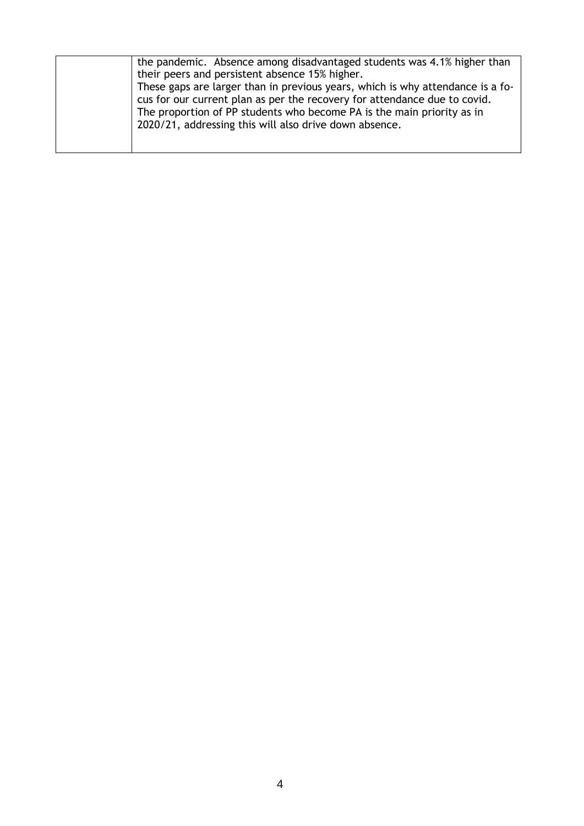| the pandemic. Absence among disadvantaged students was 4.1% higher than        |
|--------------------------------------------------------------------------------|
| their peers and persistent absence 15% higher.                                 |
| These gaps are larger than in previous years, which is why attendance is a fo- |
| cus for our current plan as per the recovery for attendance due to covid.      |
| The proportion of PP students who become PA is the main priority as in         |
| 2020/21, addressing this will also drive down absence.                         |
|                                                                                |
|                                                                                |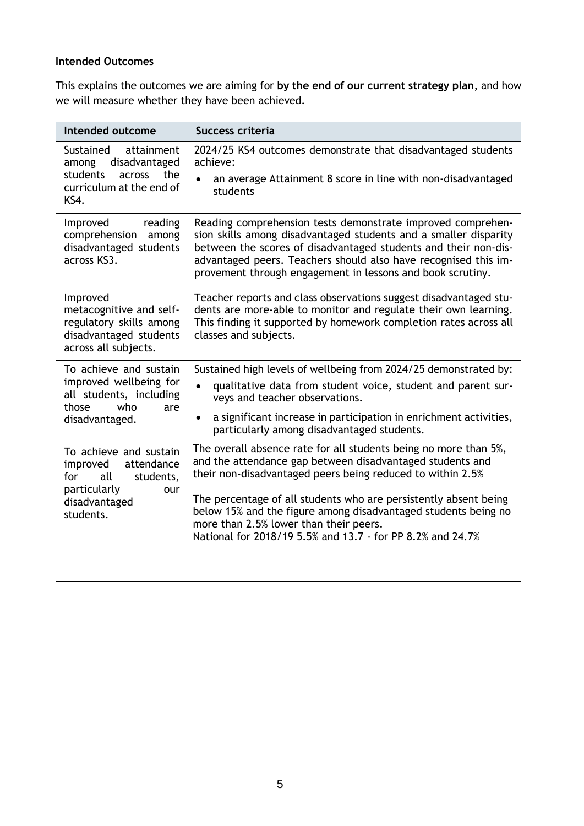### **Intended Outcomes**

This explains the outcomes we are aiming for **by the end of our current strategy plan**, and how we will measure whether they have been achieved.

| Intended outcome                                                                                                                 | Success criteria                                                                                                                                                                                                                                                                                                                                                                                                                          |
|----------------------------------------------------------------------------------------------------------------------------------|-------------------------------------------------------------------------------------------------------------------------------------------------------------------------------------------------------------------------------------------------------------------------------------------------------------------------------------------------------------------------------------------------------------------------------------------|
| Sustained<br>attainment<br>disadvantaged<br>among<br>students<br>the<br>across<br>curriculum at the end of<br>KS4.               | 2024/25 KS4 outcomes demonstrate that disadvantaged students<br>achieve:<br>an average Attainment 8 score in line with non-disadvantaged<br>students                                                                                                                                                                                                                                                                                      |
| Improved<br>reading<br>comprehension among<br>disadvantaged students<br>across KS3.                                              | Reading comprehension tests demonstrate improved comprehen-<br>sion skills among disadvantaged students and a smaller disparity<br>between the scores of disadvantaged students and their non-dis-<br>advantaged peers. Teachers should also have recognised this im-<br>provement through engagement in lessons and book scrutiny.                                                                                                       |
| Improved<br>metacognitive and self-<br>regulatory skills among<br>disadvantaged students<br>across all subjects.                 | Teacher reports and class observations suggest disadvantaged stu-<br>dents are more-able to monitor and regulate their own learning.<br>This finding it supported by homework completion rates across all<br>classes and subjects.                                                                                                                                                                                                        |
| To achieve and sustain<br>improved wellbeing for<br>all students, including<br>those<br>who<br>are<br>disadvantaged.             | Sustained high levels of wellbeing from 2024/25 demonstrated by:<br>qualitative data from student voice, student and parent sur-<br>$\bullet$<br>veys and teacher observations.<br>a significant increase in participation in enrichment activities,<br>$\bullet$<br>particularly among disadvantaged students.                                                                                                                           |
| To achieve and sustain<br>improved<br>attendance<br>students,<br>for<br>all<br>particularly<br>our<br>disadvantaged<br>students. | The overall absence rate for all students being no more than 5%,<br>and the attendance gap between disadvantaged students and<br>their non-disadvantaged peers being reduced to within 2.5%<br>The percentage of all students who are persistently absent being<br>below 15% and the figure among disadvantaged students being no<br>more than 2.5% lower than their peers.<br>National for 2018/19 5.5% and 13.7 - for PP 8.2% and 24.7% |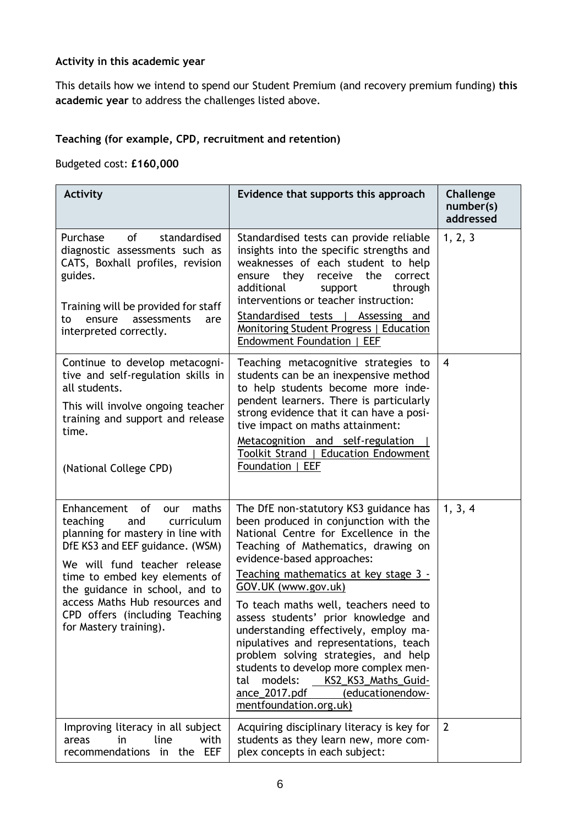### **Activity in this academic year**

This details how we intend to spend our Student Premium (and recovery premium funding) **this academic year** to address the challenges listed above.

### **Teaching (for example, CPD, recruitment and retention)**

Budgeted cost: **£160,000**

| <b>Activity</b>                                                                                                                                                                                                                                                                                                                          | Evidence that supports this approach                                                                                                                                                                                                                                                                                                                                                                                                                                                                                                                                                                                              | Challenge<br>number(s)<br>addressed |
|------------------------------------------------------------------------------------------------------------------------------------------------------------------------------------------------------------------------------------------------------------------------------------------------------------------------------------------|-----------------------------------------------------------------------------------------------------------------------------------------------------------------------------------------------------------------------------------------------------------------------------------------------------------------------------------------------------------------------------------------------------------------------------------------------------------------------------------------------------------------------------------------------------------------------------------------------------------------------------------|-------------------------------------|
| Purchase<br><b>of</b><br>standardised<br>diagnostic assessments such as<br>CATS, Boxhall profiles, revision<br>guides.<br>Training will be provided for staff<br>ensure<br>assessments<br>to<br>are<br>interpreted correctly.                                                                                                            | Standardised tests can provide reliable<br>insights into the specific strengths and<br>weaknesses of each student to help<br>receive the<br>ensure they<br>correct<br>additional<br>through<br>support<br>interventions or teacher instruction:<br>Standardised tests   Assessing and<br>Monitoring Student Progress   Education<br>Endowment Foundation   EEF                                                                                                                                                                                                                                                                    | 1, 2, 3                             |
| Continue to develop metacogni-<br>tive and self-regulation skills in<br>all students.<br>This will involve ongoing teacher<br>training and support and release<br>time.<br>(National College CPD)                                                                                                                                        | Teaching metacognitive strategies to<br>students can be an inexpensive method<br>to help students become more inde-<br>pendent learners. There is particularly<br>strong evidence that it can have a posi-<br>tive impact on maths attainment:<br>Metacognition and self-regulation<br>Toolkit Strand   Education Endowment<br>Foundation   EEF                                                                                                                                                                                                                                                                                   | $\overline{4}$                      |
| Enhancement of<br>maths<br>our<br>teaching<br>curriculum<br>and<br>planning for mastery in line with<br>DfE KS3 and EEF guidance. (WSM)<br>We will fund teacher release<br>time to embed key elements of<br>the guidance in school, and to<br>access Maths Hub resources and<br>CPD offers (including Teaching<br>for Mastery training). | The DfE non-statutory KS3 guidance has<br>been produced in conjunction with the<br>National Centre for Excellence in the<br>Teaching of Mathematics, drawing on<br>evidence-based approaches:<br><u>Teaching mathematics at key stage 3 -</u><br>GOV.UK (www.gov.uk)<br>To teach maths well, teachers need to<br>assess students' prior knowledge and<br>understanding effectively, employ ma-<br>nipulatives and representations, teach<br>problem solving strategies, and help<br>students to develop more complex men-<br>models:<br>KS2 KS3 Maths Guid-<br>tal<br>ance_2017.pdf<br>(educationendow-<br>mentfoundation.org.uk) | 1, 3, 4                             |
| Improving literacy in all subject<br>in<br>line<br>with<br>areas<br>in the EEF<br>recommendations                                                                                                                                                                                                                                        | Acquiring disciplinary literacy is key for<br>students as they learn new, more com-<br>plex concepts in each subject:                                                                                                                                                                                                                                                                                                                                                                                                                                                                                                             | $\overline{2}$                      |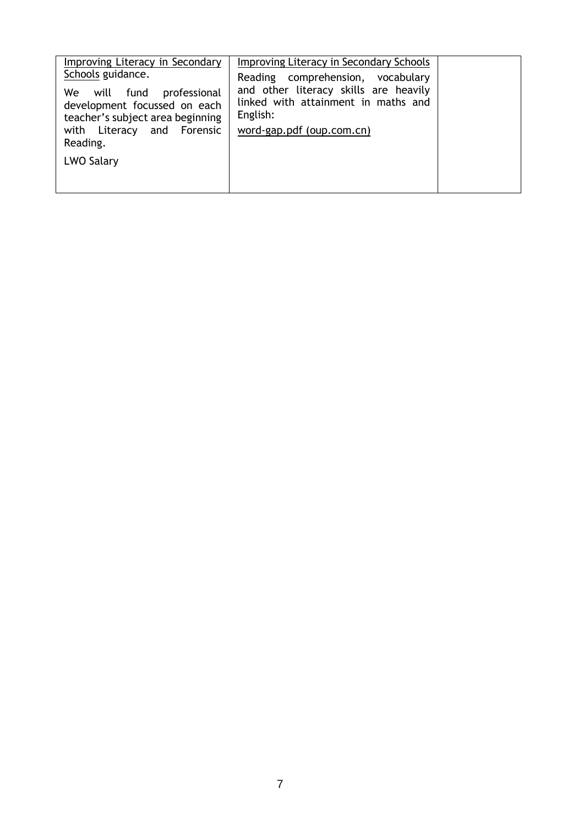| Improving Literacy in Secondary<br>Schools guidance.<br>We will fund professional<br>development focussed on each<br>teacher's subject area beginning<br>with Literacy and Forensic<br>Reading.<br>LWO Salary | Improving Literacy in Secondary Schools<br>Reading comprehension, vocabulary<br>and other literacy skills are heavily<br>linked with attainment in maths and<br>English:<br>word-gap.pdf (oup.com.cn) |  |
|---------------------------------------------------------------------------------------------------------------------------------------------------------------------------------------------------------------|-------------------------------------------------------------------------------------------------------------------------------------------------------------------------------------------------------|--|
|---------------------------------------------------------------------------------------------------------------------------------------------------------------------------------------------------------------|-------------------------------------------------------------------------------------------------------------------------------------------------------------------------------------------------------|--|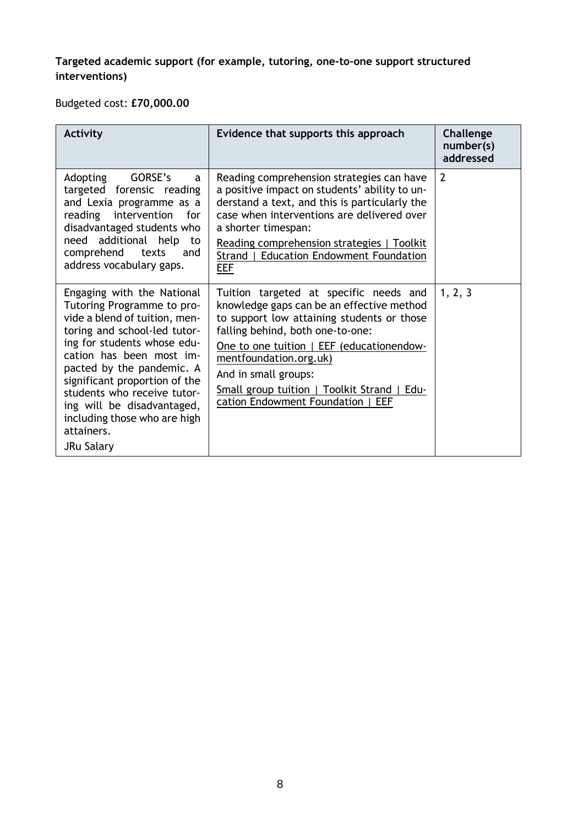## **Targeted academic support (for example, tutoring, one-to-one support structured interventions)**

Budgeted cost: **£70,000.00**

| <b>Activity</b>                                                                                                                                                                                                                                                                                                                                                             | Evidence that supports this approach                                                                                                                                                                                                                                                                                                                           | Challenge<br>number(s)<br>addressed |
|-----------------------------------------------------------------------------------------------------------------------------------------------------------------------------------------------------------------------------------------------------------------------------------------------------------------------------------------------------------------------------|----------------------------------------------------------------------------------------------------------------------------------------------------------------------------------------------------------------------------------------------------------------------------------------------------------------------------------------------------------------|-------------------------------------|
| GORSE's<br>Adopting<br>a<br>targeted forensic reading<br>and Lexia programme as a<br>reading intervention<br>for<br>disadvantaged students who<br>need additional help<br>to<br>comprehend<br>texts<br>and<br>address vocabulary gaps.                                                                                                                                      | Reading comprehension strategies can have<br>a positive impact on students' ability to un-<br>derstand a text, and this is particularly the<br>case when interventions are delivered over<br>a shorter timespan:<br>Reading comprehension strategies   Toolkit<br><b>Education Endowment Foundation</b><br>Strand  <br>EEF                                     | 2                                   |
| Engaging with the National<br>Tutoring Programme to pro-<br>vide a blend of tuition, men-<br>toring and school-led tutor-<br>ing for students whose edu-<br>cation has been most im-<br>pacted by the pandemic. A<br>significant proportion of the<br>students who receive tutor-<br>ing will be disadvantaged,<br>including those who are high<br>attainers.<br>JRu Salary | Tuition targeted at specific needs and<br>knowledge gaps can be an effective method<br>to support low attaining students or those<br>falling behind, both one-to-one:<br>One to one tuition   EEF (educationendow-<br>mentfoundation.org.uk)<br>And in small groups:<br>Small group tuition   Toolkit Strand  <br>Edu-<br>cation Endowment Foundation  <br>EEF | 1, 2, 3                             |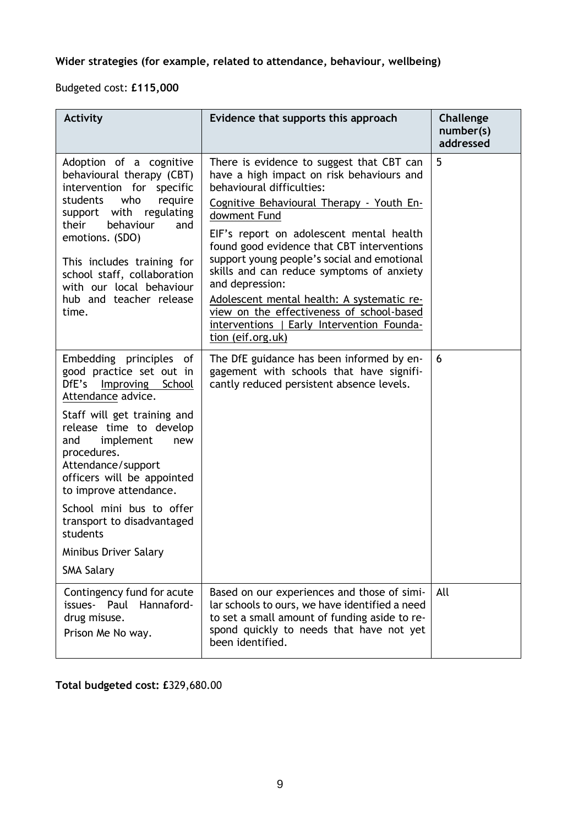# **Wider strategies (for example, related to attendance, behaviour, wellbeing)**

Budgeted cost: **£115,000**

| <b>Activity</b>                                                                                                                                                                                                                                                                                                                                                                                           | Evidence that supports this approach                                                                                                                                                                                                                                                                                                                                                                                                                                                                                                                    | Challenge<br>number(s)<br>addressed |
|-----------------------------------------------------------------------------------------------------------------------------------------------------------------------------------------------------------------------------------------------------------------------------------------------------------------------------------------------------------------------------------------------------------|---------------------------------------------------------------------------------------------------------------------------------------------------------------------------------------------------------------------------------------------------------------------------------------------------------------------------------------------------------------------------------------------------------------------------------------------------------------------------------------------------------------------------------------------------------|-------------------------------------|
| Adoption of a cognitive<br>behavioural therapy (CBT)<br>intervention for specific<br>who<br>students<br>require<br>support with regulating<br>their<br>behaviour<br>and<br>emotions. (SDO)<br>This includes training for<br>school staff, collaboration<br>with our local behaviour<br>hub and teacher release<br>time.                                                                                   | There is evidence to suggest that CBT can<br>have a high impact on risk behaviours and<br>behavioural difficulties:<br>Cognitive Behavioural Therapy - Youth En-<br>dowment Fund<br>EIF's report on adolescent mental health<br>found good evidence that CBT interventions<br>support young people's social and emotional<br>skills and can reduce symptoms of anxiety<br>and depression:<br>Adolescent mental health: A systematic re-<br>view on the effectiveness of school-based<br>interventions   Early Intervention Founda-<br>tion (eif.org.uk) | 5                                   |
| Embedding principles of<br>good practice set out in<br>DfE's Improving School<br>Attendance advice.<br>Staff will get training and<br>release time to develop<br>implement<br>and<br>new<br>procedures.<br>Attendance/support<br>officers will be appointed<br>to improve attendance.<br>School mini bus to offer<br>transport to disadvantaged<br>students<br>Minibus Driver Salary<br><b>SMA Salary</b> | The DfE guidance has been informed by en-<br>gagement with schools that have signifi-<br>cantly reduced persistent absence levels.                                                                                                                                                                                                                                                                                                                                                                                                                      | 6                                   |
| Contingency fund for acute<br>Hannaford-<br>issues- Paul<br>drug misuse.<br>Prison Me No way.                                                                                                                                                                                                                                                                                                             | Based on our experiences and those of simi-<br>lar schools to ours, we have identified a need<br>to set a small amount of funding aside to re-<br>spond quickly to needs that have not yet<br>been identified.                                                                                                                                                                                                                                                                                                                                          | All                                 |

**Total budgeted cost: £**329,680.00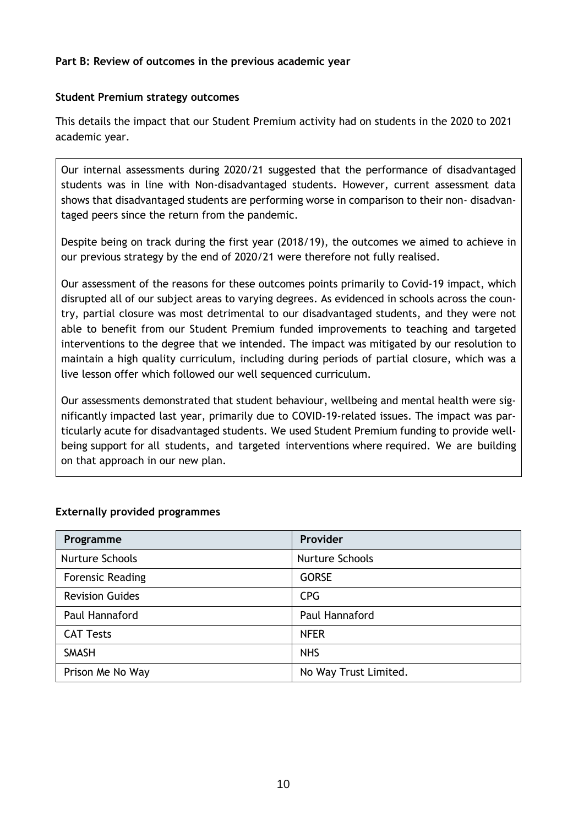### **Part B: Review of outcomes in the previous academic year**

### **Student Premium strategy outcomes**

This details the impact that our Student Premium activity had on students in the 2020 to 2021 academic year.

Our internal assessments during 2020/21 suggested that the performance of disadvantaged students was in line with Non-disadvantaged students. However, current assessment data shows that disadvantaged students are performing worse in comparison to their non- disadvantaged peers since the return from the pandemic.

Despite being on track during the first year (2018/19), the outcomes we aimed to achieve in our previous strategy by the end of 2020/21 were therefore not fully realised.

Our assessment of the reasons for these outcomes points primarily to Covid-19 impact, which disrupted all of our subject areas to varying degrees. As evidenced in schools across the country, partial closure was most detrimental to our disadvantaged students, and they were not able to benefit from our Student Premium funded improvements to teaching and targeted interventions to the degree that we intended. The impact was mitigated by our resolution to maintain a high quality curriculum, including during periods of partial closure, which was a live lesson offer which followed our well sequenced curriculum.

Our assessments demonstrated that student behaviour, wellbeing and mental health were significantly impacted last year, primarily due to COVID-19-related issues. The impact was particularly acute for disadvantaged students. We used Student Premium funding to provide wellbeing support for all students, and targeted interventions where required. We are building on that approach in our new plan.

| Programme               | Provider              |
|-------------------------|-----------------------|
| Nurture Schools         | Nurture Schools       |
| <b>Forensic Reading</b> | <b>GORSE</b>          |
| <b>Revision Guides</b>  | <b>CPG</b>            |
| Paul Hannaford          | Paul Hannaford        |
| <b>CAT Tests</b>        | <b>NFER</b>           |
| <b>SMASH</b>            | <b>NHS</b>            |
| Prison Me No Way        | No Way Trust Limited. |

### **Externally provided programmes**